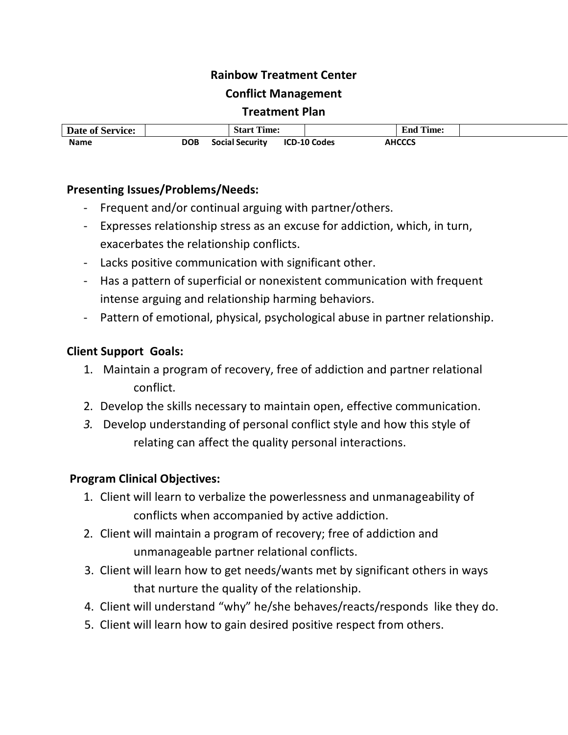#### **Rainbow Treatment Center**

#### **Conflict Management**

#### **Treatment Plan**

| <b>Date of Service:</b> | <b>Start Time:</b> |                        | <b>End Time:</b>    |               |  |
|-------------------------|--------------------|------------------------|---------------------|---------------|--|
| <b>Name</b>             | <b>DOB</b>         | <b>Social Security</b> | <b>ICD-10 Codes</b> | <b>AHCCCS</b> |  |

## **Presenting Issues/Problems/Needs:**

- Frequent and/or continual arguing with partner/others.
- Expresses relationship stress as an excuse for addiction, which, in turn, exacerbates the relationship conflicts.
- Lacks positive communication with significant other.
- Has a pattern of superficial or nonexistent communication with frequent intense arguing and relationship harming behaviors.
- Pattern of emotional, physical, psychological abuse in partner relationship.

## **Client Support Goals:**

- 1. Maintain a program of recovery, free of addiction and partner relational conflict.
- 2. Develop the skills necessary to maintain open, effective communication.
- *3.* Develop understanding of personal conflict style and how this style of relating can affect the quality personal interactions.

## **Program Clinical Objectives:**

- 1. Client will learn to verbalize the powerlessness and unmanageability of conflicts when accompanied by active addiction.
- 2. Client will maintain a program of recovery; free of addiction and unmanageable partner relational conflicts.
- 3. Client will learn how to get needs/wants met by significant others in ways that nurture the quality of the relationship.
- 4. Client will understand "why" he/she behaves/reacts/responds like they do.
- 5. Client will learn how to gain desired positive respect from others.